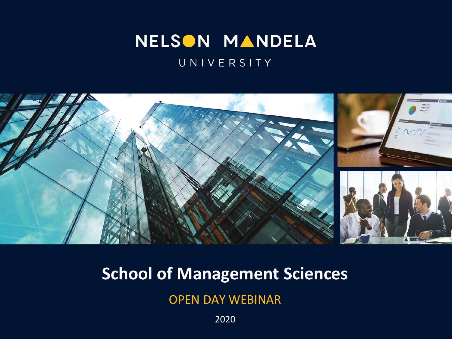### NELSON MANDELA

#### UNIVERSITY



### **School of Management Sciences**

OPEN DAY WEBINAR

2020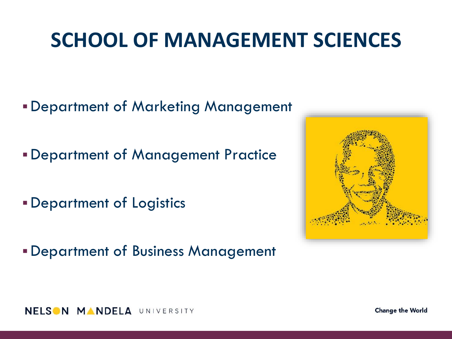- *•***Department of Marketing Management**
- ▪Department of Management Practice
- **Department of Logistics**
- **Department of Business Management**





**Change the World**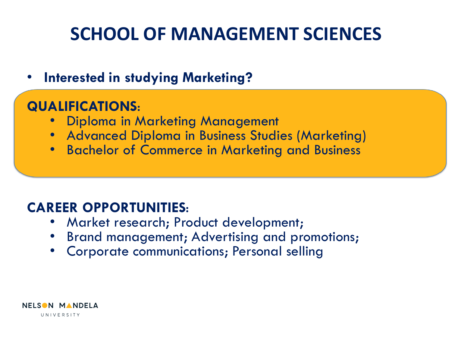### • **Interested in studying Marketing?**

#### **QUALIFICATIONS**:

- Diploma in Marketing Management
- Advanced Diploma in Business Studies (Marketing)
- Bachelor of Commerce in Marketing and Business

### **CAREER OPPORTUNITIES**:

- Market research; Product development;
- Brand management; Advertising and promotions;
- Corporate communications; Personal selling

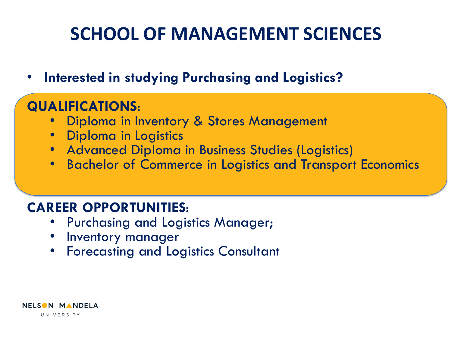• **Interested in studying Purchasing and Logistics?**

### **QUALIFICATIONS**:

- Diploma in Inventory & Stores Management
- Diploma in Logistics
- Advanced Diploma in Business Studies (Logistics)
- Bachelor of Commerce in Logistics and Transport Economics

#### **CAREER OPPORTUNITIES**:

- Purchasing and Logistics Manager;
- Inventory manager
- Forecasting and Logistics Consultant

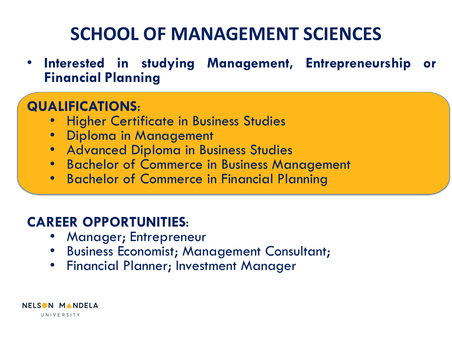• **Interested in studying Management, Entrepreneurship or Financial Planning**

### **QUALIFICATIONS**:

- Higher Certificate in Business Studies
- Diploma in Management
- Advanced Diploma in Business Studies
- Bachelor of Commerce in Business Management
- Bachelor of Commerce in Financial Planning

### **CAREER OPPORTUNITIES**:

- Manager; Entrepreneur
- Business Economist; Management Consultant;
- Financial Planner; Investment Manager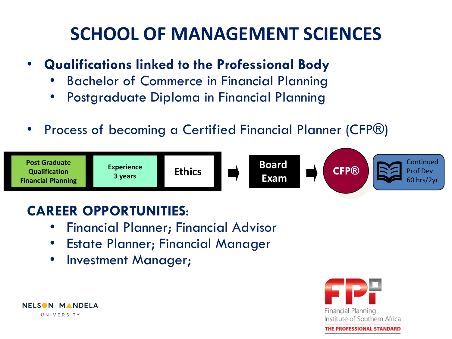### Professional Development Framework **SCHOOL OF MANAGEMENT SCIENCES**

- **Qualifications linked to the Professional Body** 
	- Bachelor of Commerce in Financial Planning
	- Postgraduate Diploma in Financial Planning
- Process of becoming a Certified Financial Planner (CFP®)



### **CAREER OPPORTUNITIES**:

- Financial Planner; Financial Advisor
- Estate Planner; Financial Manager
- Investment Manager;



NELSON MANDELA UNIVERSITY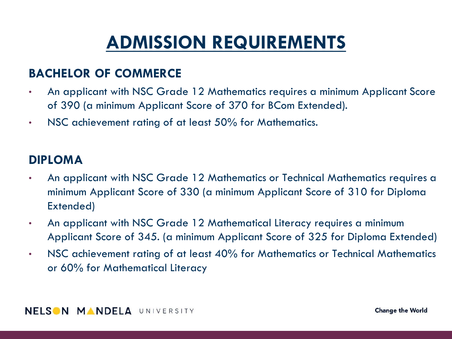## **ADMISSION REQUIREMENTS**

#### **BACHELOR OF COMMERCE**

- An applicant with NSC Grade 12 Mathematics requires a minimum Applicant Score of 390 (a minimum Applicant Score of 370 for BCom Extended).
- NSC achievement rating of at least 50% for Mathematics.

#### **DIPLOMA**

- An applicant with NSC Grade 12 Mathematics or Technical Mathematics requires a minimum Applicant Score of 330 (a minimum Applicant Score of 310 for Diploma Extended)
- An applicant with NSC Grade 12 Mathematical Literacy requires a minimum Applicant Score of 345. (a minimum Applicant Score of 325 for Diploma Extended)
- NSC achievement rating of at least 40% for Mathematics or Technical Mathematics or 60% for Mathematical Literacy

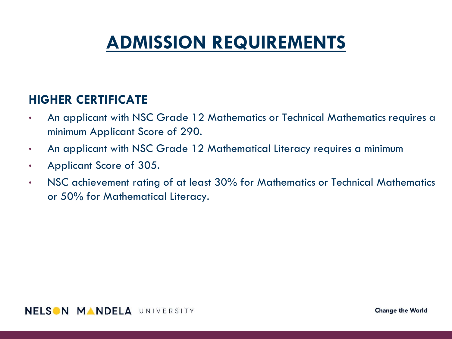## **ADMISSION REQUIREMENTS**

#### **HIGHER CERTIFICATE**

- An applicant with NSC Grade 12 Mathematics or Technical Mathematics requires a minimum Applicant Score of 290.
- An applicant with NSC Grade 12 Mathematical Literacy requires a minimum
- Applicant Score of 305.
- NSC achievement rating of at least 30% for Mathematics or Technical Mathematics or 50% for Mathematical Literacy.